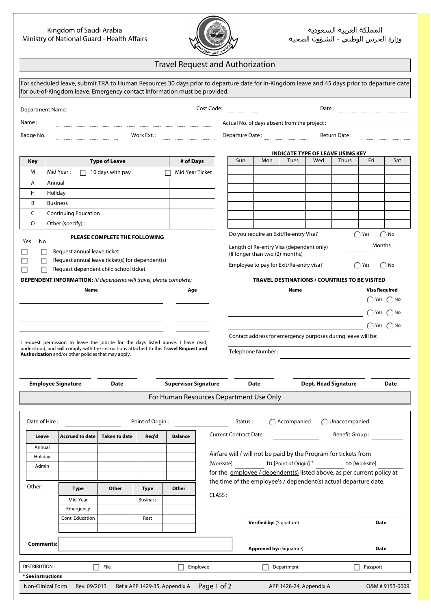## Kingdom of Saudi Arabia Ministry of National Guard - Health Affairs



## Travel Request and Authorization

| Cost Code:<br>Date:<br><b>Department Name:</b><br>Actual No. of days absent from the project :<br>Work Ext.:<br>Departure Date:<br>Return Date:<br><b>INDICATE TYPE OF LEAVE USING KEY</b><br>Wed<br>Sun<br>Mon<br>Tues<br><b>Thurs</b><br>Fri<br><b>Type of Leave</b><br># of Days<br>Key<br>м<br>Mid Year:<br>Mid Year Ticket<br>10 days with pay<br>Annual<br>A<br>H<br>Holiday<br>B<br><b>Business</b><br>C<br><b>Continuing Education</b><br>O<br>Other (specify):<br>Do you require an Exit/Re-entry Visa?<br>( Yes<br>$\bigcap$ No<br>PLEASE COMPLETE THE FOLLOWING<br>No<br>Months<br>Length of Re-entry Visa (dependent only)<br>Request annual leave ticket<br>(If longer than two (2) months)<br>Request annual leave ticket(s) for dependent(s)<br>Employee to pay for Exit/Re-entry visa?<br>Yes<br>( ) No<br>Request dependent child school ticket<br><b>DEPENDENT INFORMATION:</b> (if dependents will travel, please complete)<br><b>TRAVEL DESTINATIONS / COUNTRIES TO BE VISITED</b><br>Name<br><b>Visa Required</b><br>Age<br>Name<br>$\bigcap$ Yes $\bigcap$ No<br>$\bigcap$ Yes $\bigcap$ No<br>$\bigcap$ Yes $\bigcap$ No<br>Contact address for emergency purposes during leave will be:<br>I request permission to leave the jobsite for the days listed above. I have read,<br>understood, and will comply with the instructions attached to this Travel Request and<br>Telephone Number:<br>Authorization and/or other policies that may apply.<br><b>Employee Signature</b><br><b>Supervisor Signature</b><br><b>Dept. Head Signature</b><br><b>Date</b><br><b>Date</b><br>For Human Resources Department Use Only<br>Date of Hire:<br>Point of Origin:<br>Accompanied<br>Unaccompanied<br>Status:<br>Current Contract Date:<br>Benefit Group:<br><b>Accrued to date</b><br><b>Taken to date</b><br>Req'd<br>Leave<br><b>Balance</b><br>Annual<br>Airfare will / will not be paid by the Program for tickets from<br>Holiday<br>[Worksite]<br>to [Point of Origin] *<br>to [Worksite]<br>Admin<br>for the employee / dependent(s) listed above, as per current policy at<br>the time of the employee's / dependent(s) actual departure date.<br><b>Type</b><br>Other<br>Other<br>Type<br>CLASS:<br>Mid-Year<br><b>Business</b><br>Emergency<br>Cont. Education<br>Rest<br><b>Verified by: (Signature)</b><br>Date<br><b>Comments:</b><br><b>Approved by: (Signature)</b><br>Date<br><b>DISTRIBUTION:</b><br>File<br>Employee<br>Department<br>П.<br>Passport |           |  |  |  |  |  |  |  |             |
|-----------------------------------------------------------------------------------------------------------------------------------------------------------------------------------------------------------------------------------------------------------------------------------------------------------------------------------------------------------------------------------------------------------------------------------------------------------------------------------------------------------------------------------------------------------------------------------------------------------------------------------------------------------------------------------------------------------------------------------------------------------------------------------------------------------------------------------------------------------------------------------------------------------------------------------------------------------------------------------------------------------------------------------------------------------------------------------------------------------------------------------------------------------------------------------------------------------------------------------------------------------------------------------------------------------------------------------------------------------------------------------------------------------------------------------------------------------------------------------------------------------------------------------------------------------------------------------------------------------------------------------------------------------------------------------------------------------------------------------------------------------------------------------------------------------------------------------------------------------------------------------------------------------------------------------------------------------------------------------------------------------------------------------------------------------------------------------------------------------------------------------------------------------------------------------------------------------------------------------------------------------------------------------------------------------------------------------------------------------------------------------------------------------------------------------------------------------------------------------------|-----------|--|--|--|--|--|--|--|-------------|
|                                                                                                                                                                                                                                                                                                                                                                                                                                                                                                                                                                                                                                                                                                                                                                                                                                                                                                                                                                                                                                                                                                                                                                                                                                                                                                                                                                                                                                                                                                                                                                                                                                                                                                                                                                                                                                                                                                                                                                                                                                                                                                                                                                                                                                                                                                                                                                                                                                                                                         |           |  |  |  |  |  |  |  |             |
|                                                                                                                                                                                                                                                                                                                                                                                                                                                                                                                                                                                                                                                                                                                                                                                                                                                                                                                                                                                                                                                                                                                                                                                                                                                                                                                                                                                                                                                                                                                                                                                                                                                                                                                                                                                                                                                                                                                                                                                                                                                                                                                                                                                                                                                                                                                                                                                                                                                                                         | Name:     |  |  |  |  |  |  |  |             |
|                                                                                                                                                                                                                                                                                                                                                                                                                                                                                                                                                                                                                                                                                                                                                                                                                                                                                                                                                                                                                                                                                                                                                                                                                                                                                                                                                                                                                                                                                                                                                                                                                                                                                                                                                                                                                                                                                                                                                                                                                                                                                                                                                                                                                                                                                                                                                                                                                                                                                         | Badge No. |  |  |  |  |  |  |  |             |
|                                                                                                                                                                                                                                                                                                                                                                                                                                                                                                                                                                                                                                                                                                                                                                                                                                                                                                                                                                                                                                                                                                                                                                                                                                                                                                                                                                                                                                                                                                                                                                                                                                                                                                                                                                                                                                                                                                                                                                                                                                                                                                                                                                                                                                                                                                                                                                                                                                                                                         |           |  |  |  |  |  |  |  |             |
|                                                                                                                                                                                                                                                                                                                                                                                                                                                                                                                                                                                                                                                                                                                                                                                                                                                                                                                                                                                                                                                                                                                                                                                                                                                                                                                                                                                                                                                                                                                                                                                                                                                                                                                                                                                                                                                                                                                                                                                                                                                                                                                                                                                                                                                                                                                                                                                                                                                                                         |           |  |  |  |  |  |  |  | Sat         |
|                                                                                                                                                                                                                                                                                                                                                                                                                                                                                                                                                                                                                                                                                                                                                                                                                                                                                                                                                                                                                                                                                                                                                                                                                                                                                                                                                                                                                                                                                                                                                                                                                                                                                                                                                                                                                                                                                                                                                                                                                                                                                                                                                                                                                                                                                                                                                                                                                                                                                         |           |  |  |  |  |  |  |  |             |
|                                                                                                                                                                                                                                                                                                                                                                                                                                                                                                                                                                                                                                                                                                                                                                                                                                                                                                                                                                                                                                                                                                                                                                                                                                                                                                                                                                                                                                                                                                                                                                                                                                                                                                                                                                                                                                                                                                                                                                                                                                                                                                                                                                                                                                                                                                                                                                                                                                                                                         |           |  |  |  |  |  |  |  |             |
|                                                                                                                                                                                                                                                                                                                                                                                                                                                                                                                                                                                                                                                                                                                                                                                                                                                                                                                                                                                                                                                                                                                                                                                                                                                                                                                                                                                                                                                                                                                                                                                                                                                                                                                                                                                                                                                                                                                                                                                                                                                                                                                                                                                                                                                                                                                                                                                                                                                                                         |           |  |  |  |  |  |  |  |             |
|                                                                                                                                                                                                                                                                                                                                                                                                                                                                                                                                                                                                                                                                                                                                                                                                                                                                                                                                                                                                                                                                                                                                                                                                                                                                                                                                                                                                                                                                                                                                                                                                                                                                                                                                                                                                                                                                                                                                                                                                                                                                                                                                                                                                                                                                                                                                                                                                                                                                                         |           |  |  |  |  |  |  |  |             |
|                                                                                                                                                                                                                                                                                                                                                                                                                                                                                                                                                                                                                                                                                                                                                                                                                                                                                                                                                                                                                                                                                                                                                                                                                                                                                                                                                                                                                                                                                                                                                                                                                                                                                                                                                                                                                                                                                                                                                                                                                                                                                                                                                                                                                                                                                                                                                                                                                                                                                         |           |  |  |  |  |  |  |  |             |
|                                                                                                                                                                                                                                                                                                                                                                                                                                                                                                                                                                                                                                                                                                                                                                                                                                                                                                                                                                                                                                                                                                                                                                                                                                                                                                                                                                                                                                                                                                                                                                                                                                                                                                                                                                                                                                                                                                                                                                                                                                                                                                                                                                                                                                                                                                                                                                                                                                                                                         |           |  |  |  |  |  |  |  |             |
|                                                                                                                                                                                                                                                                                                                                                                                                                                                                                                                                                                                                                                                                                                                                                                                                                                                                                                                                                                                                                                                                                                                                                                                                                                                                                                                                                                                                                                                                                                                                                                                                                                                                                                                                                                                                                                                                                                                                                                                                                                                                                                                                                                                                                                                                                                                                                                                                                                                                                         |           |  |  |  |  |  |  |  |             |
|                                                                                                                                                                                                                                                                                                                                                                                                                                                                                                                                                                                                                                                                                                                                                                                                                                                                                                                                                                                                                                                                                                                                                                                                                                                                                                                                                                                                                                                                                                                                                                                                                                                                                                                                                                                                                                                                                                                                                                                                                                                                                                                                                                                                                                                                                                                                                                                                                                                                                         | Yes       |  |  |  |  |  |  |  |             |
|                                                                                                                                                                                                                                                                                                                                                                                                                                                                                                                                                                                                                                                                                                                                                                                                                                                                                                                                                                                                                                                                                                                                                                                                                                                                                                                                                                                                                                                                                                                                                                                                                                                                                                                                                                                                                                                                                                                                                                                                                                                                                                                                                                                                                                                                                                                                                                                                                                                                                         |           |  |  |  |  |  |  |  |             |
|                                                                                                                                                                                                                                                                                                                                                                                                                                                                                                                                                                                                                                                                                                                                                                                                                                                                                                                                                                                                                                                                                                                                                                                                                                                                                                                                                                                                                                                                                                                                                                                                                                                                                                                                                                                                                                                                                                                                                                                                                                                                                                                                                                                                                                                                                                                                                                                                                                                                                         |           |  |  |  |  |  |  |  |             |
|                                                                                                                                                                                                                                                                                                                                                                                                                                                                                                                                                                                                                                                                                                                                                                                                                                                                                                                                                                                                                                                                                                                                                                                                                                                                                                                                                                                                                                                                                                                                                                                                                                                                                                                                                                                                                                                                                                                                                                                                                                                                                                                                                                                                                                                                                                                                                                                                                                                                                         |           |  |  |  |  |  |  |  |             |
|                                                                                                                                                                                                                                                                                                                                                                                                                                                                                                                                                                                                                                                                                                                                                                                                                                                                                                                                                                                                                                                                                                                                                                                                                                                                                                                                                                                                                                                                                                                                                                                                                                                                                                                                                                                                                                                                                                                                                                                                                                                                                                                                                                                                                                                                                                                                                                                                                                                                                         |           |  |  |  |  |  |  |  |             |
|                                                                                                                                                                                                                                                                                                                                                                                                                                                                                                                                                                                                                                                                                                                                                                                                                                                                                                                                                                                                                                                                                                                                                                                                                                                                                                                                                                                                                                                                                                                                                                                                                                                                                                                                                                                                                                                                                                                                                                                                                                                                                                                                                                                                                                                                                                                                                                                                                                                                                         |           |  |  |  |  |  |  |  |             |
|                                                                                                                                                                                                                                                                                                                                                                                                                                                                                                                                                                                                                                                                                                                                                                                                                                                                                                                                                                                                                                                                                                                                                                                                                                                                                                                                                                                                                                                                                                                                                                                                                                                                                                                                                                                                                                                                                                                                                                                                                                                                                                                                                                                                                                                                                                                                                                                                                                                                                         |           |  |  |  |  |  |  |  |             |
|                                                                                                                                                                                                                                                                                                                                                                                                                                                                                                                                                                                                                                                                                                                                                                                                                                                                                                                                                                                                                                                                                                                                                                                                                                                                                                                                                                                                                                                                                                                                                                                                                                                                                                                                                                                                                                                                                                                                                                                                                                                                                                                                                                                                                                                                                                                                                                                                                                                                                         |           |  |  |  |  |  |  |  |             |
|                                                                                                                                                                                                                                                                                                                                                                                                                                                                                                                                                                                                                                                                                                                                                                                                                                                                                                                                                                                                                                                                                                                                                                                                                                                                                                                                                                                                                                                                                                                                                                                                                                                                                                                                                                                                                                                                                                                                                                                                                                                                                                                                                                                                                                                                                                                                                                                                                                                                                         |           |  |  |  |  |  |  |  |             |
|                                                                                                                                                                                                                                                                                                                                                                                                                                                                                                                                                                                                                                                                                                                                                                                                                                                                                                                                                                                                                                                                                                                                                                                                                                                                                                                                                                                                                                                                                                                                                                                                                                                                                                                                                                                                                                                                                                                                                                                                                                                                                                                                                                                                                                                                                                                                                                                                                                                                                         |           |  |  |  |  |  |  |  |             |
|                                                                                                                                                                                                                                                                                                                                                                                                                                                                                                                                                                                                                                                                                                                                                                                                                                                                                                                                                                                                                                                                                                                                                                                                                                                                                                                                                                                                                                                                                                                                                                                                                                                                                                                                                                                                                                                                                                                                                                                                                                                                                                                                                                                                                                                                                                                                                                                                                                                                                         |           |  |  |  |  |  |  |  |             |
|                                                                                                                                                                                                                                                                                                                                                                                                                                                                                                                                                                                                                                                                                                                                                                                                                                                                                                                                                                                                                                                                                                                                                                                                                                                                                                                                                                                                                                                                                                                                                                                                                                                                                                                                                                                                                                                                                                                                                                                                                                                                                                                                                                                                                                                                                                                                                                                                                                                                                         |           |  |  |  |  |  |  |  |             |
|                                                                                                                                                                                                                                                                                                                                                                                                                                                                                                                                                                                                                                                                                                                                                                                                                                                                                                                                                                                                                                                                                                                                                                                                                                                                                                                                                                                                                                                                                                                                                                                                                                                                                                                                                                                                                                                                                                                                                                                                                                                                                                                                                                                                                                                                                                                                                                                                                                                                                         |           |  |  |  |  |  |  |  | <b>Date</b> |
|                                                                                                                                                                                                                                                                                                                                                                                                                                                                                                                                                                                                                                                                                                                                                                                                                                                                                                                                                                                                                                                                                                                                                                                                                                                                                                                                                                                                                                                                                                                                                                                                                                                                                                                                                                                                                                                                                                                                                                                                                                                                                                                                                                                                                                                                                                                                                                                                                                                                                         |           |  |  |  |  |  |  |  |             |
|                                                                                                                                                                                                                                                                                                                                                                                                                                                                                                                                                                                                                                                                                                                                                                                                                                                                                                                                                                                                                                                                                                                                                                                                                                                                                                                                                                                                                                                                                                                                                                                                                                                                                                                                                                                                                                                                                                                                                                                                                                                                                                                                                                                                                                                                                                                                                                                                                                                                                         |           |  |  |  |  |  |  |  |             |
|                                                                                                                                                                                                                                                                                                                                                                                                                                                                                                                                                                                                                                                                                                                                                                                                                                                                                                                                                                                                                                                                                                                                                                                                                                                                                                                                                                                                                                                                                                                                                                                                                                                                                                                                                                                                                                                                                                                                                                                                                                                                                                                                                                                                                                                                                                                                                                                                                                                                                         |           |  |  |  |  |  |  |  |             |
|                                                                                                                                                                                                                                                                                                                                                                                                                                                                                                                                                                                                                                                                                                                                                                                                                                                                                                                                                                                                                                                                                                                                                                                                                                                                                                                                                                                                                                                                                                                                                                                                                                                                                                                                                                                                                                                                                                                                                                                                                                                                                                                                                                                                                                                                                                                                                                                                                                                                                         |           |  |  |  |  |  |  |  |             |
|                                                                                                                                                                                                                                                                                                                                                                                                                                                                                                                                                                                                                                                                                                                                                                                                                                                                                                                                                                                                                                                                                                                                                                                                                                                                                                                                                                                                                                                                                                                                                                                                                                                                                                                                                                                                                                                                                                                                                                                                                                                                                                                                                                                                                                                                                                                                                                                                                                                                                         |           |  |  |  |  |  |  |  |             |
|                                                                                                                                                                                                                                                                                                                                                                                                                                                                                                                                                                                                                                                                                                                                                                                                                                                                                                                                                                                                                                                                                                                                                                                                                                                                                                                                                                                                                                                                                                                                                                                                                                                                                                                                                                                                                                                                                                                                                                                                                                                                                                                                                                                                                                                                                                                                                                                                                                                                                         |           |  |  |  |  |  |  |  |             |
|                                                                                                                                                                                                                                                                                                                                                                                                                                                                                                                                                                                                                                                                                                                                                                                                                                                                                                                                                                                                                                                                                                                                                                                                                                                                                                                                                                                                                                                                                                                                                                                                                                                                                                                                                                                                                                                                                                                                                                                                                                                                                                                                                                                                                                                                                                                                                                                                                                                                                         |           |  |  |  |  |  |  |  |             |
|                                                                                                                                                                                                                                                                                                                                                                                                                                                                                                                                                                                                                                                                                                                                                                                                                                                                                                                                                                                                                                                                                                                                                                                                                                                                                                                                                                                                                                                                                                                                                                                                                                                                                                                                                                                                                                                                                                                                                                                                                                                                                                                                                                                                                                                                                                                                                                                                                                                                                         |           |  |  |  |  |  |  |  |             |
|                                                                                                                                                                                                                                                                                                                                                                                                                                                                                                                                                                                                                                                                                                                                                                                                                                                                                                                                                                                                                                                                                                                                                                                                                                                                                                                                                                                                                                                                                                                                                                                                                                                                                                                                                                                                                                                                                                                                                                                                                                                                                                                                                                                                                                                                                                                                                                                                                                                                                         |           |  |  |  |  |  |  |  |             |
|                                                                                                                                                                                                                                                                                                                                                                                                                                                                                                                                                                                                                                                                                                                                                                                                                                                                                                                                                                                                                                                                                                                                                                                                                                                                                                                                                                                                                                                                                                                                                                                                                                                                                                                                                                                                                                                                                                                                                                                                                                                                                                                                                                                                                                                                                                                                                                                                                                                                                         |           |  |  |  |  |  |  |  |             |
|                                                                                                                                                                                                                                                                                                                                                                                                                                                                                                                                                                                                                                                                                                                                                                                                                                                                                                                                                                                                                                                                                                                                                                                                                                                                                                                                                                                                                                                                                                                                                                                                                                                                                                                                                                                                                                                                                                                                                                                                                                                                                                                                                                                                                                                                                                                                                                                                                                                                                         |           |  |  |  |  |  |  |  |             |
|                                                                                                                                                                                                                                                                                                                                                                                                                                                                                                                                                                                                                                                                                                                                                                                                                                                                                                                                                                                                                                                                                                                                                                                                                                                                                                                                                                                                                                                                                                                                                                                                                                                                                                                                                                                                                                                                                                                                                                                                                                                                                                                                                                                                                                                                                                                                                                                                                                                                                         | Other:    |  |  |  |  |  |  |  |             |
|                                                                                                                                                                                                                                                                                                                                                                                                                                                                                                                                                                                                                                                                                                                                                                                                                                                                                                                                                                                                                                                                                                                                                                                                                                                                                                                                                                                                                                                                                                                                                                                                                                                                                                                                                                                                                                                                                                                                                                                                                                                                                                                                                                                                                                                                                                                                                                                                                                                                                         |           |  |  |  |  |  |  |  |             |
|                                                                                                                                                                                                                                                                                                                                                                                                                                                                                                                                                                                                                                                                                                                                                                                                                                                                                                                                                                                                                                                                                                                                                                                                                                                                                                                                                                                                                                                                                                                                                                                                                                                                                                                                                                                                                                                                                                                                                                                                                                                                                                                                                                                                                                                                                                                                                                                                                                                                                         |           |  |  |  |  |  |  |  |             |